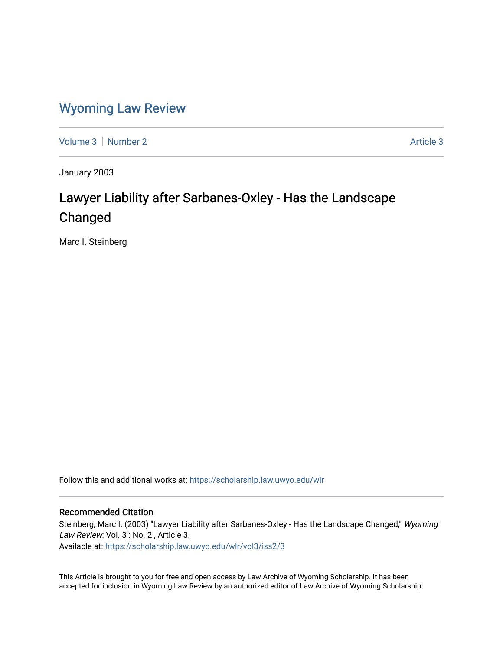## [Wyoming Law Review](https://scholarship.law.uwyo.edu/wlr)

[Volume 3](https://scholarship.law.uwyo.edu/wlr/vol3) [Number 2](https://scholarship.law.uwyo.edu/wlr/vol3/iss2) [Article 3](https://scholarship.law.uwyo.edu/wlr/vol3/iss2/3) Article 3

January 2003

# Lawyer Liability after Sarbanes-Oxley - Has the Landscape Changed

Marc I. Steinberg

Follow this and additional works at: [https://scholarship.law.uwyo.edu/wlr](https://scholarship.law.uwyo.edu/wlr?utm_source=scholarship.law.uwyo.edu%2Fwlr%2Fvol3%2Fiss2%2F3&utm_medium=PDF&utm_campaign=PDFCoverPages) 

## Recommended Citation

Steinberg, Marc I. (2003) "Lawyer Liability after Sarbanes-Oxley - Has the Landscape Changed," Wyoming Law Review: Vol. 3 : No. 2, Article 3.

Available at: [https://scholarship.law.uwyo.edu/wlr/vol3/iss2/3](https://scholarship.law.uwyo.edu/wlr/vol3/iss2/3?utm_source=scholarship.law.uwyo.edu%2Fwlr%2Fvol3%2Fiss2%2F3&utm_medium=PDF&utm_campaign=PDFCoverPages) 

This Article is brought to you for free and open access by Law Archive of Wyoming Scholarship. It has been accepted for inclusion in Wyoming Law Review by an authorized editor of Law Archive of Wyoming Scholarship.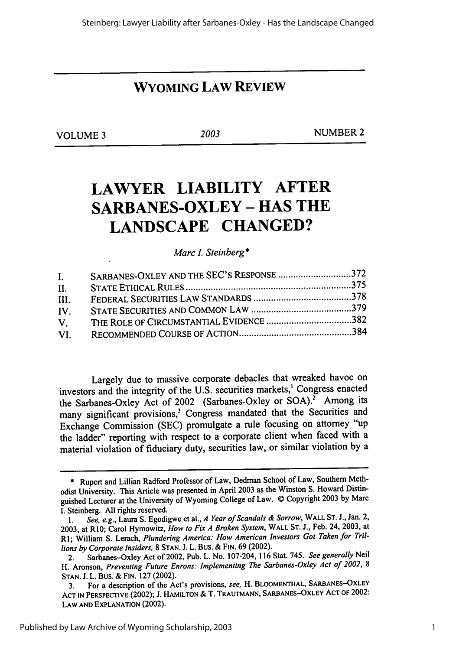## **WYOMING LAW REVIEW**

**VOLUME 3** *2003* **NUMBER** *2*

# **LAWYER LIABILITY AFTER SARBANES-OXLEY - HAS THE LANDSCAPE CHANGED?**

*Marc . Steinberg\**

| $\mathbf{I}$ .                                | SARBANES-OXLEY AND THE SEC'S RESPONSE 372 |  |
|-----------------------------------------------|-------------------------------------------|--|
| II.                                           |                                           |  |
| HL.                                           |                                           |  |
| IV.                                           |                                           |  |
| $\mathbf{V}_{\perp}$ and $\mathbf{V}_{\perp}$ |                                           |  |
| VL –                                          |                                           |  |

Largely due to massive corporate debacles that wreaked havoc on investors and the integrity of the **U.S.** securities markets,' Congress enacted the Sarbanes-Oxley Act of 2002 (Sarbanes-Oxley or **SOA).2** Among its many significant provisions,<sup>3</sup> Congress mandated that the Securities and Exchange Commission **(SEC)** promulgate a rule focusing on attorney "up the ladder" reporting with respect to a corporate client when faced with a material violation of fiduciary duty, securities law, or similar violation **by** a

**<sup>\*</sup>** Rupert and Lillian Radford Professor of Law, Dedman School of Law, Southern Methodist University. This Article was presented in April **2003** as the Winston **S.** Howard Distinguished Lecturer at the University of Wyoming College of Law. © Copyright **2003 by** Marc **I.** Steinberg. **All** rights reserved.

**<sup>1.</sup>** *See, e.g.,* Laura **S.** Egodigwe et al., *A Year of Scandals & Sorrow,* **WALL ST. J.,** Jan. 2, **2003,** at **RIO;** Carol Hymowitz, *How to Fix A Broken System,* **WALL ST. J.,** Feb. 24, **2003,** at RI; William **S.** Lerach, *Plundering America: How American Investors Got Taken for Trillions by Corporate Insiders,* **8 STAN. J.** L. Bus. **& FIN. 69** (2002).

<sup>2.</sup> Sarbanes-Oxley Act of 2002, Pub. L. No. 107-204, **116** Stat. 745. *See generally Neil* **H. Aronson,** *Preventing Future Enrons: Implementing The Sarbanes-Oxley Act of 2002, <sup>8</sup>* **STAN. J.** L. Bus. **& FIN. 127** (2002).

**<sup>3.</sup> For a** description **of** the Act's provisions, *see,* **H. BLOOMENTHAL, SARBANES--OXLEY ACT IN PERSPECTIVE** (2002); **J. HAMILTON &** T. **TRAUTMANN, SARBANES-OXLEY ACT OF** 2002: **LAW AND EXPLANATION** (2002).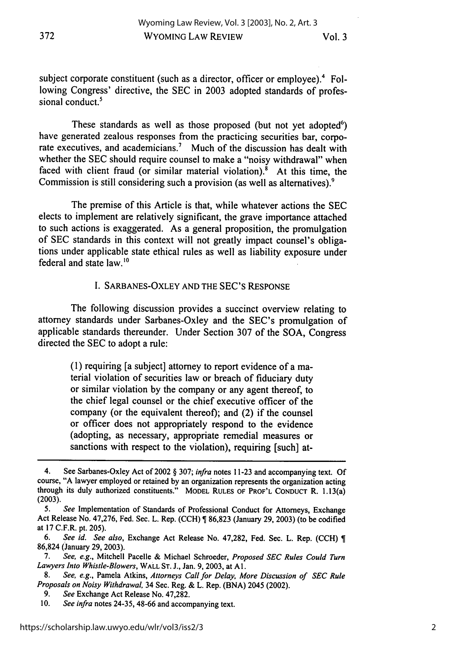Vol. **3**

subject corporate constituent (such as a director, officer or employee).<sup>4</sup> Following Congress' directive, the SEC in 2003 adopted standards of professional conduct.<sup>5</sup>

These standards as well as those proposed (but not yet adopted $\epsilon$ ) have generated zealous responses from the practicing securities bar, corporate executives, and academicians.<sup>7</sup> Much of the discussion has dealt with whether the SEC should require counsel to make a "noisy withdrawal" when faced with client fraud (or similar material violation). $8$  At this time, the Commission is still considering such a provision (as well as alternatives).<sup>9</sup>

The premise of this Article is that, while whatever actions the SEC elects to implement are relatively significant, the grave importance attached to such actions is exaggerated. As a general proposition, the promulgation of SEC standards in this context will not greatly impact counsel's obligations under applicable state ethical rules as well as liability exposure under federal and state law.'<sup>0</sup>

### I. SARBANES-OXLEY AND THE SEC'S RESPONSE

The following discussion provides a succinct overview relating to attorney standards under Sarbanes-Oxley and the SEC's promulgation of applicable standards thereunder. Under Section 307 of the SOA, Congress directed the SEC to adopt a rule:

> (1) requiring [a subject] attorney to report evidence of a material violation of securities law or breach of fiduciary duty or similar violation by the company or any agent thereof, to the chief legal counsel or the chief executive officer of the company (or the equivalent thereof); and (2) if the counsel or officer does not appropriately respond to the evidence (adopting, as necessary, appropriate remedial measures or sanctions with respect to the violation), requiring [such] at-

<sup>4.</sup> See Sarbanes-Oxley Act of 2002 § 307; *infra* notes 11-23 and accompanying text. Of course, "A lawyer employed or retained **by** an organization represents the organization acting through its duly authorized constituents." MODEL **RULES** OF PROF'L **CONDUCT** R. 1.13(a) **(2003).**

<sup>5.</sup> *See* Implementation of Standards of Professional Conduct for Attorneys, Exchange Act Release No. 47,276, Fed. Sec. L. Rep. (CCH) 86,823 (January 29, 2003) (to be codified at 17 C.F.R. pt. 205).

<sup>6.</sup> *See id. See also,* Exchange Act Release No. 47,282, Fed. Sec. L. Rep. (CCH) 86,824 (January 29, 2003).

<sup>7.</sup> *See, e.g.,* Mitchell Pacelle & Michael Schroeder, *Proposed SEC Rules Could Turn Lawyers Into Whistle-Blowers,* WALL ST. J., Jan. 9, 2003, at Al.

<sup>8.</sup> *See, e.g.,* Pamela Atkins, *Attorneys Call for Delay, More Discussion of SEC Rule Proposals on* Noisy Withdrawal, 34 Sec. Reg. & L. Rep. (BNA) 2045 (2002).

<sup>9.</sup> See Exchange Act Release No. 47,282.

**<sup>10.</sup>** *See infra* notes 24-35, 48-66 and accompanying text.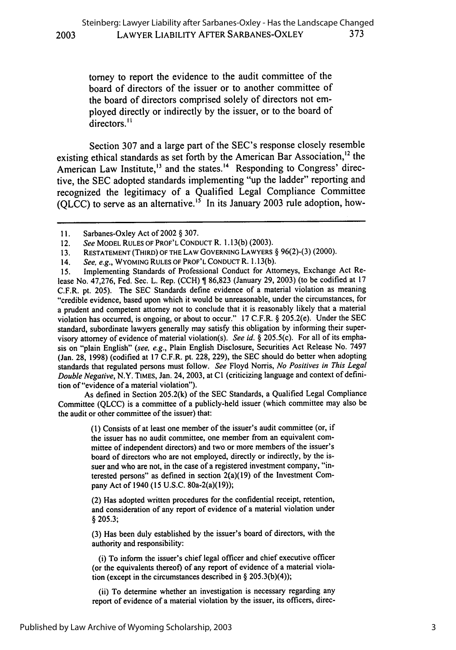torney to report the evidence to the audit committee of the board of directors of the issuer or to another committee of the board of directors comprised solely of directors not employed directly or indirectly by the issuer, or to the board of directors.<sup>11</sup>

Section 307 and a large part of the SEC's response closely resemble existing ethical standards as set forth by the American Bar Association,<sup>12</sup> the American Law Institute,<sup>13</sup> and the states.<sup>14</sup> Responding to Congress' directive, the SEC adopted standards implementing "up the ladder" reporting and recognized the legitimacy of a Qualified Legal Compliance Committee (OLCC) to serve as an alternative.<sup>15</sup> In its January 2003 rule adoption, how-

**2003**

15. Implementing Standards of Professional Conduct for Attorneys, Exchange Act Release No. 47,276, Fed. Sec. L. Rep. (CCH) **1** 86,823 (January 29, 2003) (to be codified at 17 C.F.R. pt. 205). The SEC Standards define evidence of a material violation as meaning "credible evidence, based upon which it would be unreasonable, under the circumstances, for a prudent and competent attorney not to conclude that it is reasonably likely that a material violation has occurred, is ongoing, or about to occur." 17 C.F.R. § 205.2(e). Under the SEC standard, subordinate lawyers generally may satisfy this obligation by informing their supervisory attorney of evidence of material violation(s). *See id. §* 205.5(c). For all of its emphasis on "plain English" *(see, e.g.,* Plain English Disclosure, Securities Act Release No. 7497 (Jan. 28, 1998) (codified at 17 C.F.R. pt. 228, 229), the SEC should do better when adopting standards that regulated persons must follow. *See* Floyd Norris, *No Positives in This Legal Double Negative,* N.Y. TIMES, Jan. 24, 2003, at **CI** (criticizing language and context of definition of "evidence of a material violation").

As defined in Section 205.2(k) of the SEC Standards, a Qualified Legal Compliance Committee (QLCC) is a committee of a publicly-held issuer (which committee may also be the audit or other committee of the issuer) that:

> (1) Consists of at least one member of the issuer's audit committee (or, if the issuer has no audit committee, one member from an equivalent committee of independent directors) and two or more members of the issuer's board of directors who are not employed, directly or indirectly, by the issuer and who are not, in the case of a registered investment company, "interested persons" as defined in section 2(a)(19) of the Investment Company Act of 1940 (15 U.S.C. 80a-2(a)(19));

> (2) Has adopted written procedures for the confidential receipt, retention, and consideration of any report of evidence of a material violation under § 205.3;

> (3) Has been duly established by the issuer's board of directors, with the authority and responsibility:

> (i) To inform the issuer's chief legal officer and chief executive officer (or the equivalents thereof) of any report of evidence of a material violation (except in the circumstances described in § 205.3(b)(4));

> (ii) To determine whether an investigation is necessary regarding any report of evidence of a material violation by the issuer, its officers, direc-

**<sup>1</sup>** i. Sarbanes-Oxley Act of 2002 § 307.

<sup>12.</sup> *See* MODEL RULES OF PROF'L CONDUCT R. 1.13(b) (2003).

<sup>13.</sup> **RESTATEMENT** (THIRD) OF THE **LAW GOVERNING** LAWYERS § 96(2)-(3) (2000).

<sup>14.</sup> *See, e.g.,* WYOMING **RULES** OF PROF'L CONDUCT R. 1.13(b).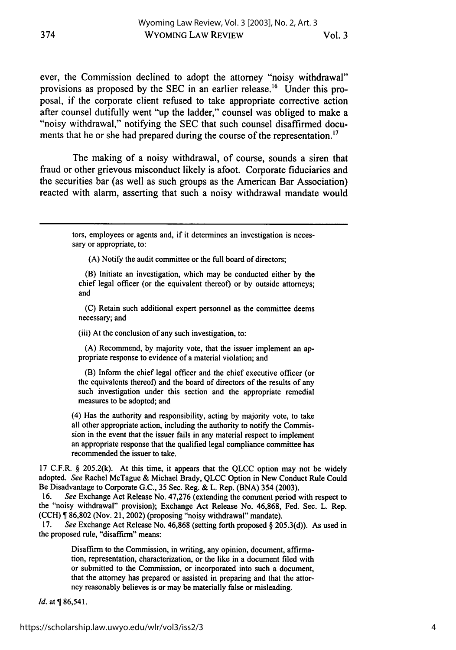ever, the Commission declined to adopt the attorney "noisy withdrawal" provisions as proposed by the SEC in an earlier release.<sup>16</sup> Under this proposal, if the corporate client refused to take appropriate corrective action after counsel dutifully went "up the ladder," counsel was obliged to make a "noisy withdrawal," notifying the SEC that such counsel disaffirmed documents that he or she had prepared during the course of the representation.<sup>17</sup>

The making of a noisy withdrawal, of course, sounds a siren that fraud or other grievous misconduct likely is afoot. Corporate fiduciaries and the securities bar (as well as such groups as the American Bar Association) reacted with alarm, asserting that such a noisy withdrawal mandate would

> tors, employees or agents and, if it determines an investigation is necessary or appropriate, to:

(A) Notify the audit committee or the full board of directors;

(B) Initiate an investigation, which may be conducted either by the chief legal officer (or the equivalent thereof) or by outside attorneys; and

**(C)** Retain such additional expert personnel as the committee deems necessary; and

(iii) At the conclusion of any such investigation, to:

(A) Recommend, by majority vote, that the issuer implement an appropriate response to evidence of a material violation; and

(B) Inform the chief legal officer and the chief executive officer (or the equivalents thereof) and the board of directors of the results of any such investigation under this section and the appropriate remedial measures to be adopted; and

(4) Has the authority and responsibility, acting by majority vote, to take all other appropriate action, including the authority to notify the Commission in the event that the issuer fails in any material respect to implement an appropriate response that the qualified legal compliance committee has recommended the issuer to take.

17 C.F.R. § 205.2(k). At this time, it appears that the QLCC option may not be widely adopted. *See* Rachel McTague & Michael Brady, QLCC Option in New Conduct Rule Could Be Disadvantage to Corporate G.C., 35 Sec. Reg. & L. Rep. (BNA) 354 (2003).

16. *See* Exchange Act Release No. 47,276 (extending the comment period with respect to the "noisy withdrawal" provision); Exchange Act Release No. 46,868, Fed. Sec. L. Rep. (CCH) ¶ 86,802 (Nov. 21, 2002) (proposing "noisy withdrawal" mandate).

17. *See* Exchange Act Release No. 46,868 (setting forth proposed § 205.3(d)). As used in the proposed rule, "disaffirm" means:

> Disaffirm to the Commission, in writing, any opinion, document, affirmation, representation, characterization, or the like in a document filed with or submitted to the Commission, or incorporated into such a document, that the attorney has prepared or assisted in preparing and that the attorney reasonably believes is or may be materially false or misleading.

*Id.* at  $\sqrt{86,541}$ .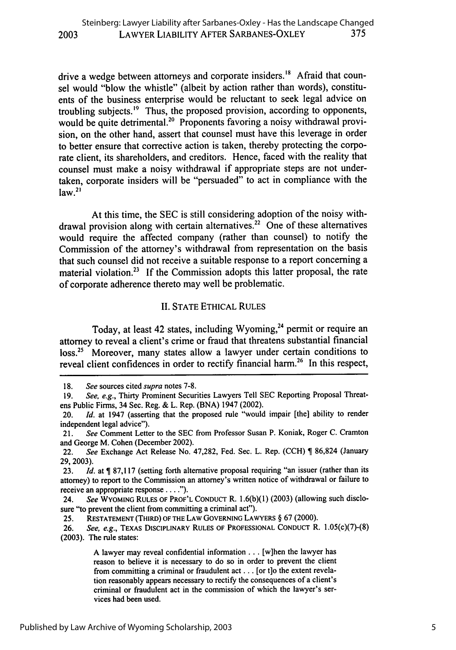drive a wedge between attorneys and corporate insiders.<sup>18</sup> Afraid that counsel would "blow the whistle" (albeit by action rather than words), constituents of the business enterprise would be reluctant to seek legal advice on troubling subjects.<sup>19</sup> Thus, the proposed provision, according to opponents, would be quite detrimental.<sup>20</sup> Proponents favoring a noisy withdrawal provision, on the other hand, assert that counsel must have this leverage in order to better ensure that corrective action is taken, thereby protecting the corporate client, its shareholders, and creditors. Hence, faced with the reality that counsel must make a noisy withdrawal if appropriate steps are not undertaken, corporate insiders will be "persuaded" to act in compliance with the  $\frac{1}{2}$ law.<sup>21</sup>

At this time, the SEC is still considering adoption of the noisy withdrawal provision along with certain alternatives.<sup>22</sup> One of these alternatives would require the affected company (rather than counsel) to notify the Commission of the attorney's withdrawal from representation on the basis that such counsel did not receive a suitable response to a report concerning a material violation.<sup>23</sup> If the Commission adopts this latter proposal, the rate of corporate adherence thereto may well be problematic.

## II. STATE ETHICAL RULES

Today, at least 42 states, including Wyoming,<sup>24</sup> permit or require an attorney to reveal a client's crime or fraud that threatens substantial financial loss.<sup>25</sup> Moreover, many states allow a lawyer under certain conditions to reveal client confidences in order to rectify financial harm.<sup>26</sup> In this respect,

<sup>18.</sup> *See* sources cited *supra* notes 7-8.

<sup>19.</sup> *See, e.g.,* Thirty Prominent Securities Lawyers Tell SEC Reporting Proposal Threatens Public Firms, 34 Sec. Reg. & L. Rep. (BNA) 1947 (2002).

<sup>20.</sup> *Id.* at 1947 (asserting that the proposed rule "would impair [the] ability to render independent legal advice").

<sup>21.</sup> *See* Comment Letter to the SEC from Professor Susan P. Koniak, Roger C. Cramton and George M. Cohen (December 2002).

<sup>22.</sup> *See* Exchange Act Release No. 47,282, Fed. Sec. L. Rep. (CCH) | 86,824 (January 29, 2003).

<sup>23.</sup> *Id.* at ¶ 87,117 (setting forth alternative proposal requiring "an issuer (rather than its attorney) to report to the Commission an attorney's written notice of withdrawal or failure to receive an appropriate response **.... ").**

<sup>24.</sup> *See* WYOMING RULES OF PROF'L CONDUCT R. 1.6(b)(1) (2003) (allowing such disclosure "to prevent the client from committing a criminal act").

<sup>25.</sup> RESTATEMENT (THIRD) OF THE LAW GOVERNING LAWYERS **§** 67 (2000).

<sup>26.</sup> See, e.g., TEXAS DISCIPLINARY RULES OF PROFESSIONAL CONDUCT R. 1.05(c)(7)-(8) (2003). The rule states:

A lawyer may reveal confidential information ... [w]hen the lawyer has reason to believe it is necessary to do so in order to prevent the client from committing a criminal or fraudulent act **...** [or t]o the extent revelation reasonably appears necessary to rectify the consequences of a client's criminal or fraudulent act in the commission of which the lawyer's services had been used.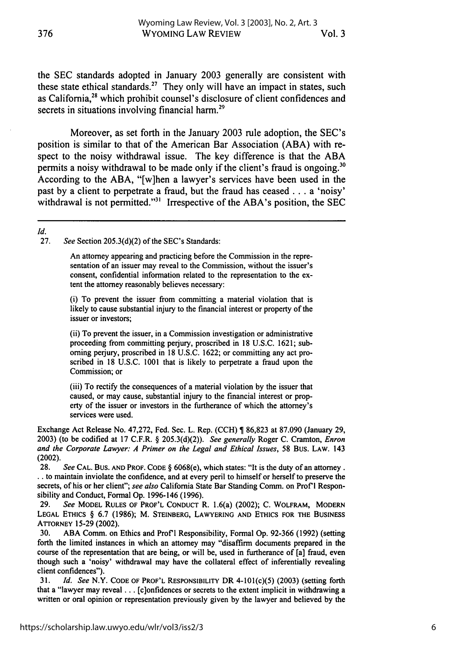the SEC standards adopted in January 2003 generally are consistent with these state ethical standards.<sup>27</sup> They only will have an impact in states, such as California,28 which prohibit counsel's disclosure of client confidences and secrets in situations involving financial harm.<sup>29</sup>

Moreover, as set forth in the January 2003 rule adoption, the SEC's position is similar to that of the American Bar Association (ABA) with respect to the noisy withdrawal issue. The key difference is that the ABA permits a noisy withdrawal to be made only if the client's fraud is ongoing.<sup>30</sup> According to the ABA, "[w]hen a lawyer's services have been used in the past by a client to perpetrate a fraud, but the fraud has ceased **...** a 'noisy' withdrawal is not permitted."<sup>31</sup> Irrespective of the ABA's position, the SEC

## *Id.*

See Section 205.3(d)(2) of the SEC's Standards:

An attorney appearing and practicing before the Commission in the representation of an issuer may reveal to the Commission, without the issuer's consent, confidential information related to the representation to the extent the attorney reasonably believes necessary:

(i) To prevent the issuer from committing a material violation that is likely to cause substantial injury to the financial interest or property of the issuer or investors;

(ii) To prevent the issuer, in a Commission investigation or administrative proceeding from committing perjury, proscribed in 18 U.S.C. 1621; suborning perjury, proscribed in 18 U.S.C. 1622; or committing any act proscribed in 18 U.S.C. 1001 that is likely to perpetrate a fraud upon the Commission; or

(iii) To rectify the consequences of a material violation by the issuer that caused, or may cause, substantial injury to the financial interest or property of the issuer or investors in the furtherance of which the attorney's services were used.

Exchange Act Release No. 47,272, Fed. Sec. L. Rep. (CCH) **1** 86,823 at 87.090 (January 29, 2003) (to be codified at 17 C.F.R. § 205.3(d)(2)). *See generally* Roger C. Cramton, *Enron and the Corporate Lawyer: A Primer on the Legal and Ethical Issues,* 58 Bus. LAW. 143 (2002).

**28.** *See* **CAL. BUS. AND PROF. CODE** § 6068(e), which states: "It is the duty of an attorney. **.** to maintain inviolate the confidence, and at every peril to himself or herself to preserve the secrets, of his or her client"; *see also* California State Bar Standing Comm. on Prof **I** Responsibility and Conduct, Formal **Op. 1996-146 (1996).**

**29.** *See* **MODEL RULES OF PROF'L CONDUCT** R. 1.6(a) (2002); **C.** WOLFRAM, **MODERN LEGAL ETHICS** § **6.7 (1986);** M. STEINBERG, **LAWYERING AND ETHICS** FOR **THE BUSINESS ATTORNEY 15-29** (2002).

**30. ABA** Comm. on Ethics and Prof'I Responsibility, Formal **Op. 92-366 (1992)** (setting forth the limited instances in which an attorney may "disaffirm documents prepared in the course of the representation that are being, or will be, used in furtherance of [a] fraud, even though such a 'noisy' withdrawal may have the collateral effect of inferentially revealing client confidences").

**31.** *Id. See* N.Y. **CODE OF** PROF'L **RESPONSIBILITY** DR 4-101(c)(5) **(2003)** (setting forth that a "lawyer may reveal **...** [c]onfidences or secrets to the extent implicit in withdrawing a written or oral opinion or representation previously given **by** the lawyer and believed **by** the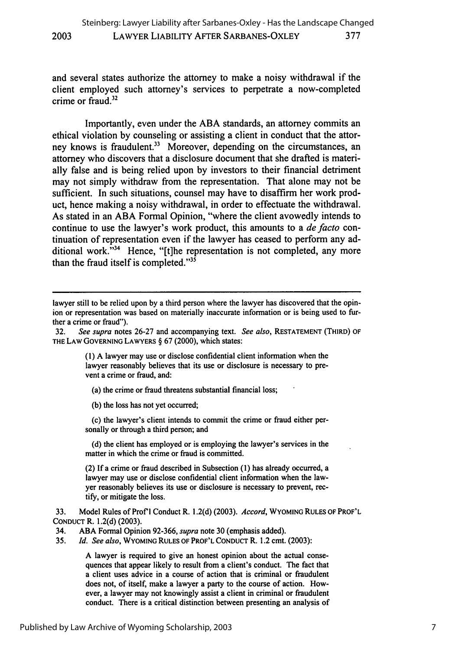and several states authorize the attorney to make a noisy withdrawal if the client employed such attorney's services to perpetrate a now-completed crime or fraud.<sup>32</sup>

**2003**

Importantly, even under the ABA standards, an attorney commits an ethical violation by counseling or assisting a client in conduct that the attorney knows is fraudulent.<sup>33</sup> Moreover, depending on the circumstances, an attorney who discovers that a disclosure document that she drafted is materially false and is being relied upon by investors to their financial detriment may not simply withdraw from the representation. That alone may not be sufficient. In such situations, counsel may have to disaffirm her work product, hence making a noisy withdrawal, in order to effectuate the withdrawal. As stated in an ABA Formal Opinion, "where the client avowedly intends to continue to use the lawyer's work product, this amounts to a *de facto* continuation of representation even if the lawyer has ceased to perform any additional work."<sup>34</sup> Hence, "[t]he representation is not completed, any more than the fraud itself is completed." $35$ 

(1) A lawyer may use or disclose confidential client information when the lawyer reasonably believes that its use or disclosure is necessary to prevent a crime or fraud, and:

(a) the crime or fraud threatens substantial financial loss;

(b) the loss has not yet occurred;

(c) the lawyer's client intends to commit the crime or fraud either personally or through a third person; and

(d) the client has employed or is employing the lawyer's services in the matter in which the crime or fraud is committed.

(2) **If** a crime or fraud described in Subsection (1) has already occurred, a lawyer may use or disclose confidential client information when the lawyer reasonably believes its use or disclosure is necessary to prevent, rectify, or mitigate the loss.

**33.** Model Rules of Prof **I** Conduct R. 1.2(d) **(2003).** *Accord,* **WYOMING RULES OF PROF'L CONDUCT** R. 1.2(d) **(2003).**

34. ABA Formal Opinion 92-366, *supra* note **30** (emphasis added).

35. *Id. See also,* WYOMING **RULES OF** PROF'L CONDUCT R. 1.2 cmt. (2003):

A lawyer is required to give an honest opinion about the actual consequences that appear likely to result from a client's conduct. The fact that a client uses advice in a course of action that is criminal or fraudulent does not, of itself, make a lawyer a party to the course of action. However, a lawyer may not knowingly assist a client in criminal or fraudulent conduct. There is a critical distinction between presenting an analysis of

lawyer still to be relied upon by a third person where the lawyer has discovered that the opinion or representation was based on materially inaccurate information or is being used to further a crime or fraud").

<sup>32.</sup> *See supra* notes 26-27 and accompanying text. *See also,* RESTATEMENT (THIRD) OF THE LAW **GOVERNING** LAWYERS § 67 (2000), which states: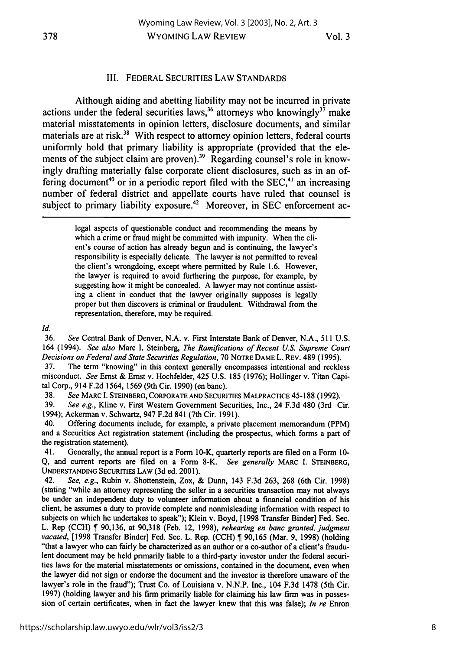#### III. FEDERAL SECURITIES LAW STANDARDS

Although aiding and abetting liability may not be incurred in private actions under the federal securities laws,<sup>36</sup> attorneys who knowingly<sup>37</sup> make material misstatements in opinion letters, disclosure documents, and similar materials are at risk.<sup>38</sup> With respect to attorney opinion letters, federal courts uniformly hold that primary liability is appropriate (provided that the elements of the subject claim are proven).<sup>39</sup> Regarding counsel's role in knowingly drafting materially false corporate client disclosures, such as in an offering document<sup>40</sup> or in a periodic report filed with the SEC,<sup>41</sup> an increasing number of federal district and appellate courts have ruled that counsel is subject to primary liability exposure.<sup>42</sup> Moreover, in SEC enforcement ac-

> legal aspects of questionable conduct and recommending the means by which a crime or fraud might be committed with impunity. When the client's course of action has already begun and is continuing, the lawyer's responsibility is especially delicate. The lawyer is not permitted to reveal the client's wrongdoing, except where permitted by Rule 1.6. However, the lawyer is required to avoid furthering the purpose, for example, **by** suggesting how it might be concealed. A lawyer may not continue assisting a client in conduct that the lawyer originally supposes is legally proper but then discovers is criminal or fraudulent. Withdrawal from the representation, therefore, may be required.

*Id.*

**36.** *See* Central Bank of Denver, N.A. v. First Interstate Bank of Denver, N.A., 511 U.S. 164 (1994). *See also* Marc I. Steinberg, *The Ramifications of Recent US. Supreme Court Decisions on Federal and State Securities Regulation,* 70 NOTRE DAME L. REV. 489 (1995).

37. The term "knowing" in this context generally encompasses intentional and reckless misconduct. *See* Ernst & Ernst v. Hochfelder, 425 U.S. 185 **(1976);** Hollinger v. Titan Capital Corp., 914 F.2d 1564, **1569** (9th Cir. **1990)** (en banc).

**38.** *See* MARC **I.** STEINBERG, CORPORATE **AND** SECURITIES MALPRACTICE 45-188 (1992).

39. *See e.g.,* Kline v. First Western Government Securities, Inc., 24 F.3d 480 (3rd Cir. 1994); Ackerman v. Schwartz, 947 F.2d 841 (7th Cir. 1991).

40. Offering documents include, for example, a private placement memorandum (PPM) and a Securities Act registration statement (including the prospectus, which forms a part of the registration statement).

41. Generally, the annual report is a Form 10-K, quarterly reports are filed on a Form **10-** Q, and current reports are filed on a Form 8-K. *See generally* MARC **I.** STEINBERG, UNDERSTANDING SECURITIES LAW (3d ed. 2001).

42. *See, e.g.,* Rubin v. Shottenstein, Zox, & Dunn, 143 F.3d 263, 268 (6th Cir. 1998) (stating "while an attorney representing the seller in a securities transaction may not always be under an independent duty to volunteer information about a financial condition of his client, he assumes a duty to provide complete and nonmisleading information with respect to subjects on which he undertakes to speak"); Klein v. Boyd, [1998 Transfer Binder] Fed. Sec. L. Rep (CCH) 90,136, at 90,318 (Feb. 12, 1998), *rehearing en banc granted, judgment vacated,* [1998 Transfer Binder] Fed. Sec. L. Rep. (CCH) ¶ 90,165 (Mar. 9, 1998) (holding "that a lawyer who can fairly be characterized as an author or a co-author of a client's fraudulent document may be held primarily liable to a third-party investor under the federal securities laws for the material misstatements or omissions, contained in the document, even when the lawyer did not sign or endorse the document and the investor is therefore unaware of the lawyer's role in the fraud"); Trust Co. of Louisiana v. N.N.P. Inc., 104 F.3d 1478 (5th Cir. 1997) (holding lawyer and his firm primarily liable for claiming his law firm was in possession of certain certificates, when in fact the lawyer knew that this was false); *In re* Enron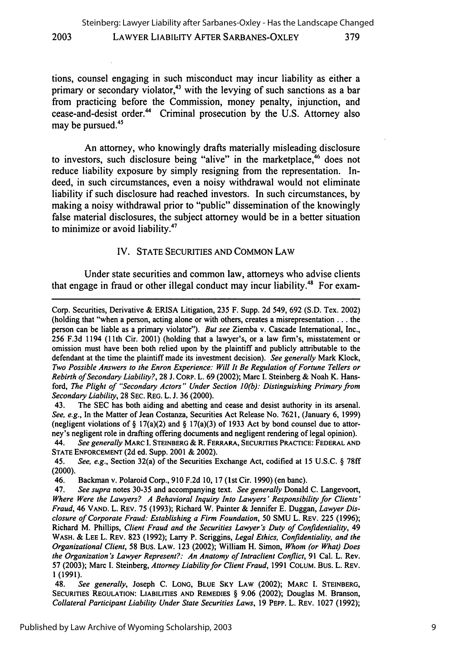tions, counsel engaging in such misconduct may incur liability as either a primary or secondary violator,<sup>43</sup> with the levying of such sanctions as a bar from practicing before the Commission, money penalty, injunction, and cease-and-desist order." Criminal prosecution by the U.S. Attorney also may be pursued. $45$ 

**2003**

An attorney, who knowingly drafts materially misleading disclosure to investors, such disclosure being "alive" in the marketplace,<sup>46</sup> does not reduce liability exposure by simply resigning from the representation. Indeed, in such circumstances, even a noisy withdrawal would not eliminate liability if such disclosure had reached investors. In such circumstances, by making a noisy withdrawal prior to "public" dissemination of the knowingly false material disclosures, the subject attorney would be in a better situation to minimize or avoid liability.47

#### IV. STATE SECURITIES AND COMMON LAW

Under state securities and common law, attorneys who advise clients that engage in fraud or other illegal conduct may incur liability.<sup>48</sup> For exam-

43. The SEC has both aiding and abetting and cease and desist authority in its arsenal. *See, e.g.,* In the Matter of Jean Costanza, Securities Act Release No. 7621, (January 6, 1999) (negligent violations of § 17(a)(2) and § 17(a)(3) of 1933 Act by bond counsel due to attorney's negligent role in drafting offering documents and negligent rendering of legal opinion).

44. *See generally* MARC **I.** STEINBERG **&** R. FERRARA, SECURITIES PRACTICE: FEDERAL **AND STATE ENFORCEMENT** (2d ed. Supp. 2001 & 2002).

45. *See, e.g.,* Section 32(a) of the Securities Exchange Act, codified at 15 U.S.C. § 78ff (2000).

46. Backman v. Polaroid Corp., 910 F.2d 10, 17 (1 st Cir. 1990) (en banc).

47. *See supra* notes 30-35 and accompanying text. *See generally* Donald C. Langevoort, *Where Were the Lawyers? A Behavioral Inquiry Into Lawyers' Responsibility for Clients' Fraud,* 46 VAND. L. REV. **75 (1993);** Richard W. Painter **&** Jennifer E. Duggan, *Lawyer Disclosure of Corporate Fraud: Establishing a Firm Foundation,* **50 SMU** L. REv. **225 (1996);** Richard M. Phillips, *Client Fraud and the Securities Lawyer's Duty of Confidentiality,* 49 WASH. **& LEE** L. REV. **823 (1992);** Larry P. Scriggins, *Legal Ethics, Confidentiality, and the Organizational Client,* **58** Bus. LAW. **123** (2002); William H. Simon, *Whom (or What) Does the Organization's Lawyer Represent?: An Anatomy of Intraclient Conflict,* **91** Cal. L. Rev. **57 (2003);** Marc I. Steinberg, *Attorney Liability for Client Fraud,* **1991 COLUM.** Bus. L. REV. **1(1991).**

48. *See generally,* Joseph C. LONG, BLUE SKY LAW (2002); MARC I. STEINBERG, SECURITIES REGULATION: LIABILITIES AND REMEDIES § 9.06 (2002); Douglas M. Branson, *Collateral Participant Liability Under State Securities Laws,* 19 PEPP. L. REV. 1027 (1992);

Corp. Securities, Derivative & ERISA Litigation, 235 F. Supp. 2d 549, 692 (S.D. Tex. 2002) (holding that "when a person, acting alone or with others, creates a misrepresentation **...** the person can be liable as a primary violator"). *But see* Ziemba v. Cascade International, Inc., 256 F.3d 1194 (1 1th Cir. 2001) (holding that a lawyer's, or a law firm's, misstatement or omission must have been both relied upon by the plaintiff and publicly attributable to the defendant at the time the plaintiff made its investment decision). *See generally* Mark Klock, *Two Possible Answers to the Enron Experience: Will It Be Regulation of Fortune Tellers or Rebirth of Secondary Liability?,* 28 J. CORP. L. 69 (2002); Marc I. Steinberg & Noah K. Hansford, *The Plight of "Secondary Actors" Under Section 10(b): Distinguishing Primary from Secondary Liability,* 28 SEC. REG. L. J. 36 (2000).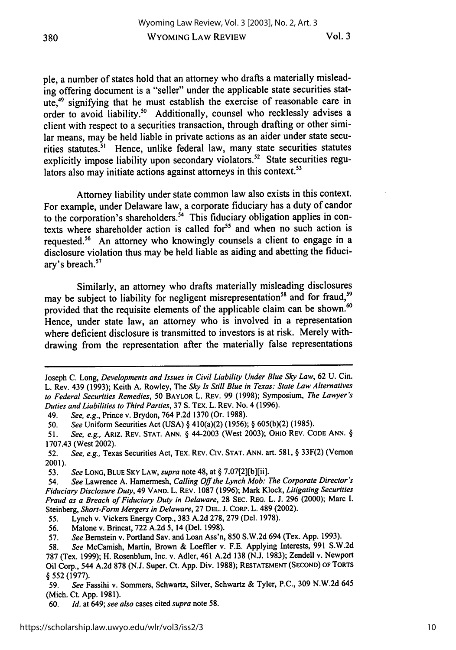pie, a number of states hold that an attorney who drafts a materially misleading offering document is a "seller" under the applicable state securities statute,49 signifying that he must establish the exercise of reasonable care in order to avoid liability.<sup>50</sup> Additionally, counsel who recklessly advises a client with respect to a securities transaction, through drafting or other similar means, may be held liable in private actions as an aider under state securities statutes.<sup>51</sup> Hence, unlike federal law, many state securities statutes explicitly impose liability upon secondary violators.<sup>52</sup> State securities regulators also may initiate actions against attorneys in this context.<sup>53</sup>

Attorney liability under state common law also exists in this context. For example, under Delaware law, a corporate fiduciary has a duty of candor to the corporation's shareholders.<sup>54</sup> This fiduciary obligation applies in contexts where shareholder action is called for<sup>55</sup> and when no such action is requested.<sup>56</sup> An attorney who knowingly counsels a client to engage in a disclosure violation thus may be held liable as aiding and abetting the fiduciary's breach.<sup>57</sup>

Similarly, an attorney who drafts materially misleading disclosures may be subject to liability for negligent misrepresentation<sup>58</sup> and for fraud,<sup>59</sup> provided that the requisite elements of the applicable claim can be shown.<sup>60</sup> Hence, under state law, an attorney who is involved in a representation where deficient disclosure is transmitted to investors is at risk. Merely withdrawing from the representation after the materially false representations

Joseph **C.** Long, *Developments and Issues in Civil Liability Under Blue Sky Law,* 62 U. Cin. L. Rev. 439 (1993); Keith A. Rowley, The *Sky Is Still Blue in Texas: State Law Alternatives to Federal Securities Remedies,* **50** BAYLOR L. REV. 99 (1998); Symposium, *The Lawyer's Duties and Liabilities to Third Parties,* 37 S. TEX. L. REV. No. 4 (1996).

<sup>49.</sup> *See, e.g.,* Prince v. Brydon, 764 P.2d 1370 (Or. 1988).

<sup>50.</sup> *See* Uniform Securities Act (USA) § 410(a)(2) (1956); § 605(b)(2) (1985).

<sup>51.</sup> *See, e.g.,* ARIZ. REV. **STAT. ANN.** § 44-2003 (West 2003); OHIO REV. **CODE ANN.** § 1707.43 (West 2002).

<sup>52.</sup> *See, e.g.,* Texas Securities Act, TEX. REV. **CIV. STAT. ANN.** art. 581, § 33F(2) (Vernon 2001).

<sup>53.</sup> *See* **LONG, BLUE SKY** LAW, *supra* note 48, at § 7.0712][b][ii].

<sup>54.</sup> *See* Lawrence **A.** Hamermesh, *Calling Off the Lynch Mob: The Corporate Director's Fiduciary Disclosure Duty,* 49 **VAND.** L. REV. 1087 (1996); Mark Klock, *Litigating Securities Fraud as a Breach of Fiduciary Duty in Delaware,* 28 **SEC.** REG. L. **J.** 296 (2000); Marc I. Steinberg, *Short-Form Mergers in Delaware,* **27 DEL. J. CORP.** L. 489 (2002).

<sup>55.</sup> Lynch v. Vickers Energy Corp., 383 A.2d 278, 279 (Del. 1978).

<sup>56.</sup> Malone v. Brincat, 722 A.2d 5, 14 (Del. 1998).

<sup>57.</sup> *See* Bernstein v. Portland **Sav.** and Loan Ass'n, 850 S.W.2d 694 (Tex. App. 1993).

<sup>58.</sup> *See* McCamish, Martin, Brown **&** Loeffler v. F.E. Applying Interests, 991 S.W.2d 787 (Tex. 1999); H. Rosenblum, Inc. v. Adler, 461 A.2d 138 (N.J. 1983); Zendell v. Newport Oil Corp., 544 **A.2d 878** (N.J. Super. Ct. **App.** Div. 1988); **RESTATEMENT (SECOND) OF TORTS** § 552 (1977).

<sup>59.</sup> *See* Fassihi v. Sommers, Schwartz, Silver, Schwartz **&** Tyler, P.C., **309** N.W.2d 645 (Mich. Ct. App. 1981).

<sup>60.</sup> *Id.* at 649; *see also* cases cited *supra* note 58.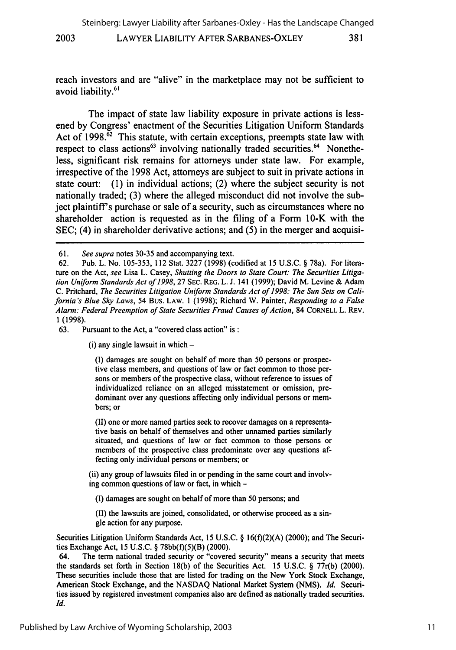381

#### LAWYER LIABILITY AFTER SARBANES-OXLEY **2003**

reach investors and are "alive" in the marketplace may not be sufficient to avoid liability.<sup>61</sup>

The impact of state law liability exposure in private actions is lessened by Congress' enactment of the Securities Litigation Uniform Standards Act of  $1998$ .<sup> $62$ </sup> This statute, with certain exceptions, preempts state law with respect to class actions<sup>63</sup> involving nationally traded securities.<sup>64</sup> Nonetheless, significant risk remains for attorneys under state law. For example, irrespective of the 1998 Act, attorneys are subject to suit in private actions in state court: (1) in individual actions; (2) where the subject security is not nationally traded; (3) where the alleged misconduct did not involve the subject plaintiff's purchase or sale of a security, such as circumstances where no shareholder action is requested as in the filing of a Form 10-K with the SEC; (4) in shareholder derivative actions; and (5) in the merger and acquisi-

 $(i)$  any single lawsuit in which  $-$ 

(I) damages are sought on behalf of more than 50 persons or prospective class members, and questions of law or fact common to those persons or members of the prospective class, without reference to issues of individualized reliance on an alleged misstatement or omission, predominant over any questions affecting only individual persons or members; or

(II) one or more named parties seek to recover damages on a representative basis on behalf of themselves and other unnamed parties similarly situated, and questions of law or fact common to those persons or members of the prospective class predominate over any questions affecting only individual persons or members; or

(ii) any group of lawsuits filed in or pending in the same court and involving common questions of law or fact, in which -

(I) damages are sought on behalf of more than 50 persons; and

(II) the lawsuits are joined, consolidated, or otherwise proceed as a single action for any purpose.

Securities Litigation Uniform Standards Act, 15 U.S.C. § 16(f)(2)(A) (2000); and The Securities Exchange Act, 15 U.S.C. § 78bb(f)(5)(B) (2000).

64. The term national traded security or "covered security" means a security that meets the standards set forth in Section 18(b) of the Securities Act. 15 U.S.C. § 77r(b) (2000). These securities include those that are listed for trading on the New York Stock Exchange, American Stock Exchange, and the NASDAQ National Market System (NMS). *Id.* Securities issued by registered investment companies also are defined as nationally traded securities. Id.

<sup>61.</sup> *See supra* notes 30-35 and accompanying text.

<sup>62.</sup> Pub. L. No. 105-353, 112 Stat. 3227 (1998) (codified at 15 U.S.C. § 78a). For literature on the Act, *see* Lisa L. Casey, *Shutting the Doors to State Court: The Securities Litigation Uniform Standards Act of 1998,* 27 SEC. REG. L. **J.** 141 (1999); David M. Levine & Adam C. Pritchard, *The Securities Litigation Uniform Standards Act of 1998: The Sun Sets on California's Blue Sky Laws,* 54 Bus. LAW. 1 (1998); Richard W. Painter, *Responding to a False Alarm: Federal Preemption of State Securities Fraud Causes of Action,* 84 CORNELL L. REV. 1(1998).

<sup>63.</sup> Pursuant to the Act, a "covered class action" is: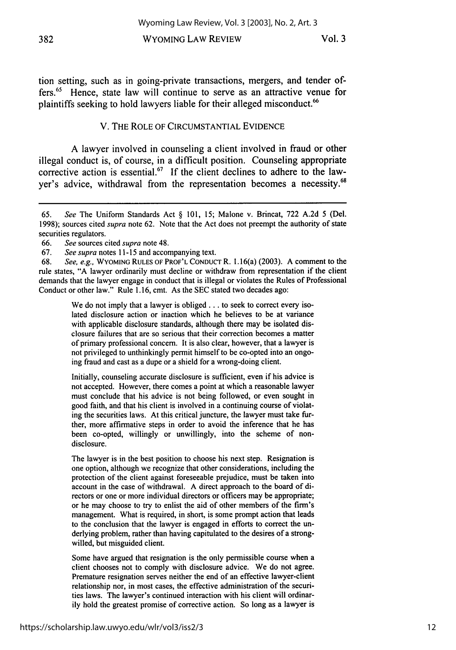WYOMING LAW REVIEW

tion setting, such as in going-private transactions, mergers, and tender offers.65 Hence, state law will continue to serve as an attractive venue for plaintiffs seeking to hold lawyers liable for their alleged misconduct.<sup>66</sup>

## V. THE ROLE OF CIRCUMSTANTIAL EVIDENCE

A lawyer involved in counseling a client involved in fraud or other illegal conduct is, of course, in a difficult position. Counseling appropriate corrective action is essential.<sup>67</sup> If the client declines to adhere to the lawyer's advice, withdrawal from the representation becomes a necessity.68

We do not imply that a lawyer is obliged . . . to seek to correct every isolated disclosure action or inaction which he believes to be at variance with applicable disclosure standards, although there may be isolated disclosure failures that are so serious that their correction becomes a matter of primary professional concern. It is also clear, however, that a lawyer is not privileged to unthinkingly permit himself to be co-opted into an ongoing fraud and cast as a dupe or a shield for a wrong-doing client.

Initially, counseling accurate disclosure is sufficient, even if his advice is not accepted. However, there comes a point at which a reasonable lawyer must conclude that his advice is not being followed, or even sought in good faith, and that his client is involved in a continuing course of violating the securities laws. At this critical juncture, the lawyer must take further, more affirmative steps in order to avoid the inference that he has been co-opted, willingly or unwillingly, into the scheme of nondisclosure.

The lawyer is in the best position to choose his next step. Resignation is one option, although we recognize that other considerations, including the protection of the client against foreseeable prejudice, must be taken into account in the case of withdrawal. A direct approach to the board of directors or one or more individual directors or officers may be appropriate; or he may choose to try to enlist the aid of other members of the firm's management. What is required, in short, is some prompt action that leads to the conclusion that the lawyer is engaged in efforts to correct the underlying problem, rather than having capitulated to the desires of a strongwilled, but misguided client.

Some have argued that resignation is the only permissible course when a client chooses not to comply with disclosure advice. We do not agree. Premature resignation serves neither the end of an effective lawyer-client relationship nor, in most cases, the effective administration of the securities laws. The lawyer's continued interaction with his client will ordinarily hold the greatest promise of corrective action. So long as a lawyer is

<sup>65.</sup> *See* The Uniform Standards Act § 101, 15; Malone v. Brincat, 722 A.2d 5 (Del. 1998); sources cited *supra* note 62. Note that the Act does not preempt the authority of state securities regulators.

<sup>66.</sup> *See* sources cited *supra* note 48.

<sup>67.</sup> *See supra* notes 11-15 and accompanying text.

<sup>68.</sup> *See, e.g.,* WYOMING RULES OF PROF'L CONDUCT R. 1.16(a) (2003). A comment to the rule states, "A lawyer ordinarily must decline or withdraw from representation if the client demands that the lawyer engage in conduct that is illegal or violates the Rules of Professional Conduct or other law." Rule 1.16, cmt. As the SEC stated two decades ago: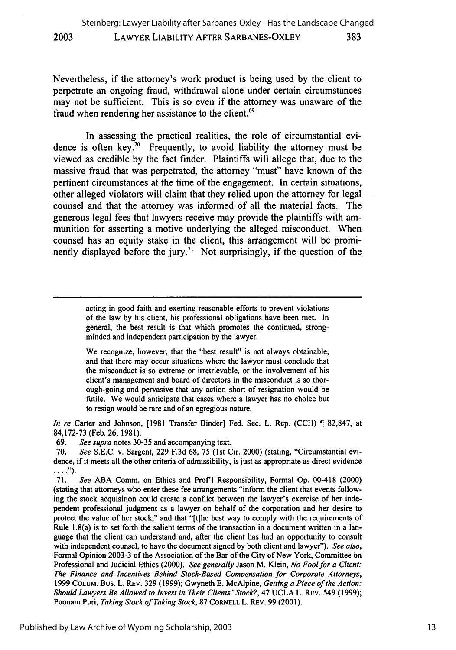Nevertheless, if the attorney's work product is being used by the client to perpetrate an ongoing fraud, withdrawal alone under certain circumstances may not be sufficient. This is so even if the attorney was unaware of the fraud when rendering her assistance to the client.<sup>69</sup>

In assessing the practical realities, the role of circumstantial evidence is often key.<sup>70</sup> Frequently, to avoid liability the attorney must be viewed as credible by the fact finder. Plaintiffs will allege that, due to the massive fraud that was perpetrated, the attorney "must" have known of the pertinent circumstances at the time of the engagement. In certain situations, other alleged violators will claim that they relied upon the attorney for legal counsel and that the attorney was informed of all the material facts. The generous legal fees that lawyers receive may provide the plaintiffs with ammunition for asserting a motive underlying the alleged misconduct. When counsel has an equity stake in the client, this arrangement will be prominently displayed before the jury.<sup>71</sup> Not surprisingly, if the question of the

> acting in good faith and exerting reasonable efforts to prevent violations of the law by his client, his professional obligations have been met. In general, the best result is that which promotes the continued, strongminded and independent participation by the lawyer.

> We recognize, however, that the "best result" is not always obtainable, and that there may occur situations where the lawyer must conclude that the misconduct is so extreme or irretrievable, or the involvement of his client's management and board of directors in the misconduct is so thorough-going and pervasive that any action short of resignation would be futile. We would anticipate that cases where a lawyer has no choice but to resign would be rare and of an egregious nature.

*In re* Carter and Johnson, [1981 Transfer Binder] Fed. Sec. L. Rep. (CCH) ¶ 82,847, at 84,172-73 (Feb. 26, 1981).

69. *See supra* notes 30-35 and accompanying text.

70. *See* S.E.C. v. Sargent, 229 F.3d 68, 75 (1st Cir. 2000) (stating, "Circumstantial evidence, if it meets all the other criteria of admissibility, is just as appropriate as direct evidence  $\ldots$ .").

71. *See* ABA Comm. on Ethics and Prof'l Responsibility, Formal Op. 00-418 (2000) (stating that attorneys who enter these fee arrangements "inform the client that events following the stock acquisition could create a conflict between the lawyer's exercise of her independent professional judgment as a lawyer on behalf of the corporation and her desire to protect the value of her stock," and that "[t]he best way to comply with the requirements of Rule 1.8(a) is to set forth the salient terms of the transaction in a document written in a language that the client can understand and, after the client has had an opportunity to consult with independent counsel, to have the document signed by both client and lawyer"). *See also,* Formal Opinion 2003-3 of the Association of the Bar of the City of New York, Committee on Professional and Judicial Ethics (2000). *See generally* Jason M. Klein, *No Fool for a Client: The Finance and Incentives Behind Stock-Based Compensation for Corporate Attorneys,* 1999 COLUM. Bus. L. REV. 329 (1999); Gwyneth E. McAlpine, *Getting a Piece of the Action: Should Lawyers Be Allowed to Invest in Their Clients'Stock?,* 47 UCLA L. REV. 549 (1999); Poonam Puri, *Taking Stock of Taking Stock,* 87 CORNELL L. REV. 99 (2001).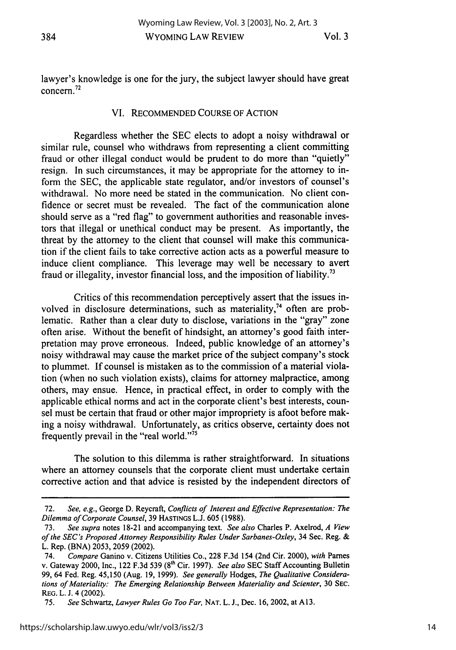## VI. RECOMMENDED COURSE OF ACTION

Regardless whether the SEC elects to adopt a noisy withdrawal or similar rule, counsel who withdraws from representing a client committing fraud or other illegal conduct would be prudent to do more than "quietly" resign. In such circumstances, it may be appropriate for the attorney to inform the SEC, the applicable state regulator, and/or investors of counsel's withdrawal. No more need be stated in the communication. No client confidence or secret must be revealed. The fact of the communication alone should serve as a "red flag" to government authorities and reasonable investors that illegal or unethical conduct may be present. As importantly, the threat by the attorney to the client that counsel will make this communication if the client fails to take corrective action acts as a powerful measure to induce client compliance. This leverage may well be necessary to avert fraud or illegality, investor financial loss, and the imposition of liability.<sup>73</sup>

Critics of this recommendation perceptively assert that the issues involved in disclosure determinations, such as materiality, $74$  often are problematic. Rather than a clear duty to disclose, variations in the "gray" zone often arise. Without the benefit of hindsight, an attorney's good faith interpretation may prove erroneous. Indeed, public knowledge of an attorney's noisy withdrawal may cause the market price of the subject company's stock to plummet. If counsel is mistaken as to the commission of a material violation (when no such violation exists), claims for attorney malpractice, among others, may ensue. Hence, in practical effect, in order to comply with the applicable ethical norms and act in the corporate client's best interests, counsel must be certain that fraud or other major impropriety is afoot before making a noisy withdrawal. Unfortunately, as critics observe, certainty does not frequently prevail in the "real world."<sup>75</sup>

The solution to this dilemma is rather straightforward. In situations where an attorney counsels that the corporate client must undertake certain corrective action and that advice is resisted by the independent directors of

<sup>72.</sup> *See, e.g.,* George D. Reycraft, *Conflicts of Interest and Effective Representation: The Dilemma of Corporate Counsel,* 39 HASTINGS L.J. 605 (1988).

<sup>73.</sup> *See supra* notes 18-21 and accompanying text. *See also* Charles P. Axelrod, *A View of the SEC's Proposed Attorney Responsibility Rules Under Sarbanes-Oxley,* 34 Sec. Reg. & L. Rep. (BNA) 2053, 2059 (2002).

<sup>74.</sup> *Compare* Ganino v. Citizens Utilities Co., 228 F.3d 154 (2nd Cir. 2000), *with* Pames v. Gateway 2000, Inc., 122 F.3d 539 (8<sup>th</sup> Cir. 1997). *See also* SEC Staff Accounting Bulletin 99, 64 Fed. Reg. 45,150 (Aug. 19, 1999). *See generally* Hodges, *The Qualitative Considerations of Materiality: The Emerging Relationship Between Materiality and Scienter,* **30 SEC.** REG. L. **J.** 4 (2002).

**<sup>75.</sup>** *See* Schwartz, *Lawyer Rules Go Too Far,* **NAT.** L. **J.,** Dec. **16,** 2002, at **A 13.**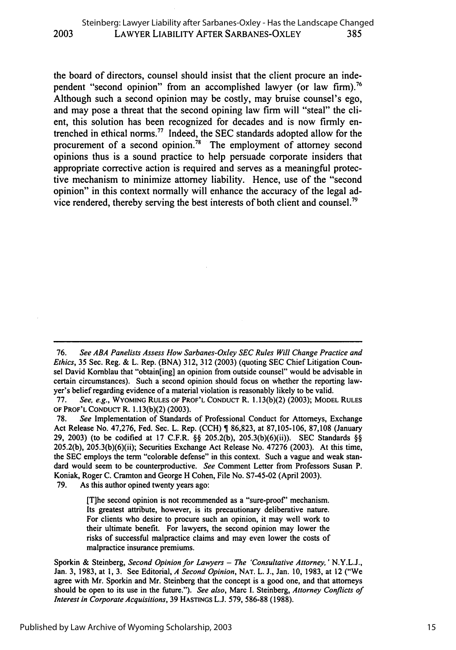the board of directors, counsel should insist that the client procure an independent "second opinion" from an accomplished lawyer (or law firm).<sup>76</sup> Although such a second opinion may be costly, may bruise counsel's ego, and may pose a threat that the second opining law firm will "steal" the client, this solution has been recognized for decades and is now firmly entrenched in ethical norms." Indeed, the SEC standards adopted allow for the procurement of a second opinion.78 The employment of attorney second opinions thus is a sound practice to help persuade corporate insiders that appropriate corrective action is required and serves as a meaningful protective mechanism to minimize attorney liability. Hence, use of the "second opinion" in this context normally will enhance the accuracy of the legal advice rendered, thereby serving the best interests of both client and counsel.<sup>79</sup>

**79.** As this author opined twenty years ago:

[T]he second opinion is not recommended as a "sure-proof' mechanism. Its greatest attribute, however, is its precautionary deliberative nature. For clients who desire to procure such an opinion, it may well work to their ultimate benefit. For lawyers, the second opinion may lower the risks of successful malpractice claims and may even lower the costs of malpractice insurance premiums.

<sup>76.</sup> *See ABA Panelists Assess How Sarbanes-Oxley SEC Rules Will Change Practice and Ethics,* 35 Sec. Reg. & L. Rep. (BNA) 312, 312 (2003) (quoting SEC Chief Litigation Counsel David Komblau that "obtain[ing] an opinion from outside counsel" would be advisable in certain circumstances). Such a second opinion should focus on whether the reporting lawyer's belief regarding evidence of a material violation is reasonably likely to be valid.

<sup>77.</sup> *See, e.g.,* WYOMING **RULES** OF PROF'L CONDUCT R. 1.13(b)(2) (2003); MODEL RULES OF PROF'L CONDUCT R. 1.13(b)(2) (2003).

**<sup>78.</sup>** *See* Implementation of Standards of Professional Conduct for Attorneys, Exchange Act Release No. 47,276, Fed. Sec. L. Rep. (CCH) **1** 86,823, at 87,105-106, 87,108 (January **29,** 2003) (to be codified at **17** C.F.R. §§ 205.2(b), 205.3(b)(6)(ii)). SEC Standards §§ 205.2(b), 205.3(b)(6)(ii); Securities Exchange Act Release No. 47276 (2003). At this time, the SEC employs the term "colorable defense" in this context. Such a vague and weak standard would seem to be counterproductive. *See* Comment Letter from Professors Susan P. Koniak, Roger C. Cramton and George H Cohen, File No. S7-45-02 (April 2003).

Sporkin & Steinberg, *Second Opinion for Lawyers* - *The 'Consultative Attorney.'* N.Y.L.J., Jan. 3, 1983, at 1, 3. See Editorial, *A Second Opinion,* NAT. L. **J.,** Jan. 10, 1983, at 12 ("We agree with Mr. Sporkin and Mr. Steinberg that the concept is a good one, and that attorneys should be open to its use in the future."). *See also,* Marc I. Steinberg, *Attorney Conflicts of Interest in Corporate Acquisitions,* 39 HASTINGS L.J. 579, 586-88 (1988).